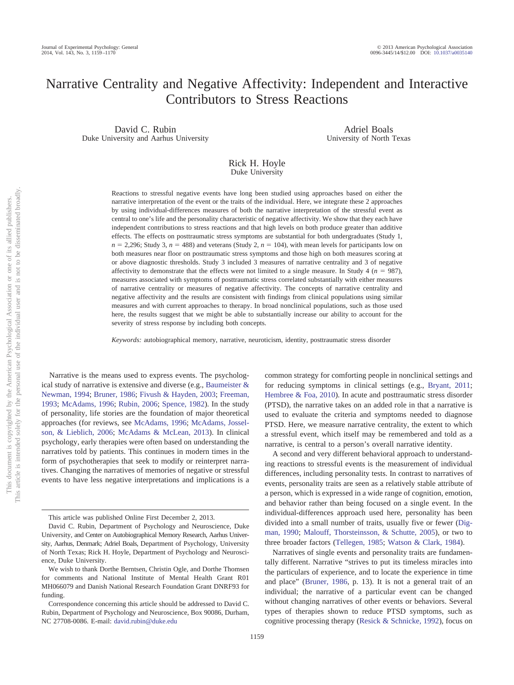# Narrative Centrality and Negative Affectivity: Independent and Interactive Contributors to Stress Reactions

David C. Rubin Duke University and Aarhus University

Adriel Boals University of North Texas

## Rick H. Hoyle Duke University

Reactions to stressful negative events have long been studied using approaches based on either the narrative interpretation of the event or the traits of the individual. Here, we integrate these 2 approaches by using individual-differences measures of both the narrative interpretation of the stressful event as central to one's life and the personality characteristic of negative affectivity. We show that they each have independent contributions to stress reactions and that high levels on both produce greater than additive effects. The effects on posttraumatic stress symptoms are substantial for both undergraduates (Study 1,  $n = 2,296$ ; Study 3,  $n = 488$ ) and veterans (Study 2,  $n = 104$ ), with mean levels for participants low on both measures near floor on posttraumatic stress symptoms and those high on both measures scoring at or above diagnostic thresholds. Study 3 included 3 measures of narrative centrality and 3 of negative affectivity to demonstrate that the effects were not limited to a single measure. In Study 4 ( $n = 987$ ), measures associated with symptoms of posttraumatic stress correlated substantially with either measures of narrative centrality or measures of negative affectivity. The concepts of narrative centrality and negative affectivity and the results are consistent with findings from clinical populations using similar measures and with current approaches to therapy. In broad nonclinical populations, such as those used here, the results suggest that we might be able to substantially increase our ability to account for the severity of stress response by including both concepts.

*Keywords:* autobiographical memory, narrative, neuroticism, identity, posttraumatic stress disorder

Narrative is the means used to express events. The psychological study of narrative is extensive and diverse (e.g., [Baumeister &](#page-9-0) [Newman, 1994;](#page-9-0) [Bruner, 1986;](#page-10-0) [Fivush & Hayden, 2003;](#page-10-1) [Freeman,](#page-10-2) [1993;](#page-10-2) [McAdams, 1996;](#page-10-3) [Rubin, 2006;](#page-11-0) [Spence, 1982\)](#page-11-1). In the study of personality, life stories are the foundation of major theoretical approaches (for reviews, see [McAdams, 1996;](#page-10-3) [McAdams, Jossel](#page-10-4)[son, & Lieblich, 2006;](#page-10-4) [McAdams & McLean, 2013\)](#page-10-5). In clinical psychology, early therapies were often based on understanding the narratives told by patients. This continues in modern times in the form of psychotherapies that seek to modify or reinterpret narratives. Changing the narratives of memories of negative or stressful events to have less negative interpretations and implications is a

common strategy for comforting people in nonclinical settings and for reducing symptoms in clinical settings (e.g., [Bryant, 2011;](#page-10-6) [Hembree & Foa, 2010\)](#page-10-7). In acute and posttraumatic stress disorder (PTSD), the narrative takes on an added role in that a narrative is used to evaluate the criteria and symptoms needed to diagnose PTSD. Here, we measure narrative centrality, the extent to which a stressful event, which itself may be remembered and told as a narrative, is central to a person's overall narrative identity.

A second and very different behavioral approach to understanding reactions to stressful events is the measurement of individual differences, including personality tests. In contrast to narratives of events, personality traits are seen as a relatively stable attribute of a person, which is expressed in a wide range of cognition, emotion, and behavior rather than being focused on a single event. In the individual-differences approach used here, personality has been divided into a small number of traits, usually five or fewer [\(Dig](#page-10-8)[man, 1990;](#page-10-8) [Malouff, Thorsteinsson, & Schutte, 2005\)](#page-10-9), or two to three broader factors [\(Tellegen, 1985;](#page-11-2) [Watson & Clark, 1984\)](#page-11-3).

Narratives of single events and personality traits are fundamentally different. Narrative "strives to put its timeless miracles into the particulars of experience, and to locate the experience in time and place" [\(Bruner, 1986,](#page-10-0) p. 13). It is not a general trait of an individual; the narrative of a particular event can be changed without changing narratives of other events or behaviors. Several types of therapies shown to reduce PTSD symptoms, such as cognitive processing therapy [\(Resick & Schnicke, 1992\)](#page-11-4), focus on

This article was published Online First December 2, 2013.

David C. Rubin, Department of Psychology and Neuroscience, Duke University, and Center on Autobiographical Memory Research, Aarhus University, Aarhus, Denmark; Adriel Boals, Department of Psychology, University of North Texas; Rick H. Hoyle, Department of Psychology and Neuroscience, Duke University.

We wish to thank Dorthe Berntsen, Christin Ogle, and Dorthe Thomsen for comments and National Institute of Mental Health Grant R01 MH066079 and Danish National Research Foundation Grant DNRF93 for funding.

Correspondence concerning this article should be addressed to David C. Rubin, Department of Psychology and Neuroscience, Box 90086, Durham, NC 27708-0086. E-mail: [david.rubin@duke.edu](mailto:david.rubin@duke.edu)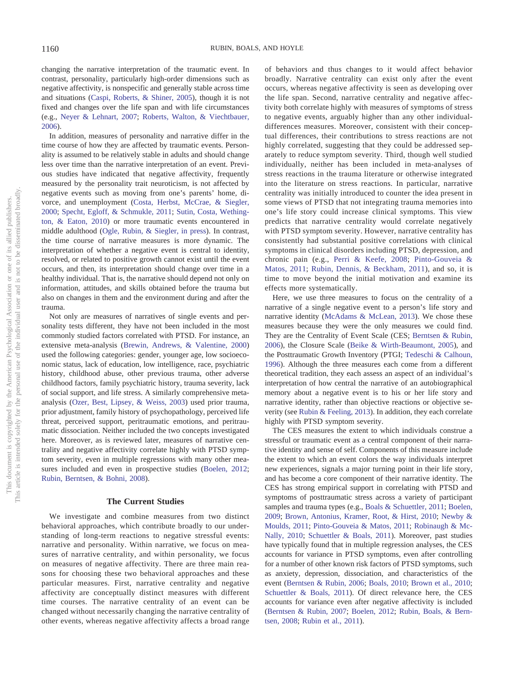changing the narrative interpretation of the traumatic event. In contrast, personality, particularly high-order dimensions such as negative affectivity, is nonspecific and generally stable across time and situations [\(Caspi, Roberts, & Shiner, 2005\)](#page-10-10), though it is not fixed and changes over the life span and with life circumstances (e.g., [Neyer & Lehnart, 2007;](#page-11-5) [Roberts, Walton, & Viechtbauer,](#page-11-6) [2006\)](#page-11-6).

In addition, measures of personality and narrative differ in the time course of how they are affected by traumatic events. Personality is assumed to be relatively stable in adults and should change less over time than the narrative interpretation of an event. Previous studies have indicated that negative affectivity, frequently measured by the personality trait neuroticism, is not affected by negative events such as moving from one's parents' home, divorce, and unemployment [\(Costa, Herbst, McCrae, & Siegler,](#page-10-11) [2000;](#page-10-11) [Specht, Egloff, & Schmukle, 2011;](#page-11-7) [Sutin, Costa, Wething](#page-11-8)[ton, & Eaton, 2010\)](#page-11-8) or more traumatic events encountered in middle adulthood [\(Ogle, Rubin, & Siegler, in press\)](#page-11-9). In contrast, the time course of narrative measures is more dynamic. The interpretation of whether a negative event is central to identity, resolved, or related to positive growth cannot exist until the event occurs, and then, its interpretation should change over time in a healthy individual. That is, the narrative should depend not only on information, attitudes, and skills obtained before the trauma but also on changes in them and the environment during and after the trauma.

Not only are measures of narratives of single events and personality tests different, they have not been included in the most commonly studied factors correlated with PTSD. For instance, an extensive meta-analysis [\(Brewin, Andrews, & Valentine, 2000\)](#page-10-12) used the following categories: gender, younger age, low socioeconomic status, lack of education, low intelligence, race, psychiatric history, childhood abuse, other previous trauma, other adverse childhood factors, family psychiatric history, trauma severity, lack of social support, and life stress. A similarly comprehensive metaanalysis [\(Ozer, Best, Lipsey, & Weiss, 2003\)](#page-11-10) used prior trauma, prior adjustment, family history of psychopathology, perceived life threat, perceived support, peritraumatic emotions, and peritraumatic dissociation. Neither included the two concepts investigated here. Moreover, as is reviewed later, measures of narrative centrality and negative affectivity correlate highly with PTSD symptom severity, even in multiple regressions with many other measures included and even in prospective studies [\(Boelen, 2012;](#page-10-13) [Rubin, Berntsen, & Bohni, 2008\)](#page-11-11).

## **The Current Studies**

We investigate and combine measures from two distinct behavioral approaches, which contribute broadly to our understanding of long-term reactions to negative stressful events: narrative and personality. Within narrative, we focus on measures of narrative centrality, and within personality, we focus on measures of negative affectivity. There are three main reasons for choosing these two behavioral approaches and these particular measures. First, narrative centrality and negative affectivity are conceptually distinct measures with different time courses. The narrative centrality of an event can be changed without necessarily changing the narrative centrality of other events, whereas negative affectivity affects a broad range

of behaviors and thus changes to it would affect behavior broadly. Narrative centrality can exist only after the event occurs, whereas negative affectivity is seen as developing over the life span. Second, narrative centrality and negative affectivity both correlate highly with measures of symptoms of stress to negative events, arguably higher than any other individualdifferences measures. Moreover, consistent with their conceptual differences, their contributions to stress reactions are not highly correlated, suggesting that they could be addressed separately to reduce symptom severity. Third, though well studied individually, neither has been included in meta-analyses of stress reactions in the trauma literature or otherwise integrated into the literature on stress reactions. In particular, narrative centrality was initially introduced to counter the idea present in some views of PTSD that not integrating trauma memories into one's life story could increase clinical symptoms. This view predicts that narrative centrality would correlate negatively with PTSD symptom severity. However, narrative centrality has consistently had substantial positive correlations with clinical symptoms in clinical disorders including PTSD, depression, and chronic pain (e.g., [Perri & Keefe, 2008;](#page-11-12) [Pinto-Gouveia &](#page-11-13) [Matos, 2011;](#page-11-13) [Rubin, Dennis, & Beckham, 2011\)](#page-11-14), and so, it is time to move beyond the initial motivation and examine its effects more systematically.

Here, we use three measures to focus on the centrality of a narrative of a single negative event to a person's life story and narrative identity [\(McAdams & McLean, 2013\)](#page-10-5). We chose these measures because they were the only measures we could find. They are the Centrality of Event Scale (CES; [Berntsen & Rubin,](#page-9-1) [2006\)](#page-9-1), the Closure Scale [\(Beike & Wirth-Beaumont, 2005\)](#page-9-2), and the Posttraumatic Growth Inventory (PTGI; [Tedeschi & Calhoun,](#page-11-15) [1996\)](#page-11-15). Although the three measures each come from a different theoretical tradition, they each assess an aspect of an individual's interpretation of how central the narrative of an autobiographical memory about a negative event is to his or her life story and narrative identity, rather than objective reactions or objective severity (see [Rubin & Feeling, 2013\)](#page-11-16). In addition, they each correlate highly with PTSD symptom severity.

The CES measures the extent to which individuals construe a stressful or traumatic event as a central component of their narrative identity and sense of self. Components of this measure include the extent to which an event colors the way individuals interpret new experiences, signals a major turning point in their life story, and has become a core component of their narrative identity. The CES has strong empirical support in correlating with PTSD and symptoms of posttraumatic stress across a variety of participant samples and trauma types (e.g., [Boals & Schuettler, 2011;](#page-10-14) [Boelen,](#page-10-15) [2009;](#page-10-15) [Brown, Antonius, Kramer, Root, & Hirst, 2010;](#page-10-16) [Newby &](#page-11-17) [Moulds, 2011;](#page-11-17) [Pinto-Gouveia & Matos, 2011;](#page-11-13) [Robinaugh & Mc-](#page-11-18)[Nally, 2010;](#page-11-18) [Schuettler & Boals, 2011\)](#page-11-19). Moreover, past studies have typically found that in multiple regression analyses, the CES accounts for variance in PTSD symptoms, even after controlling for a number of other known risk factors of PTSD symptoms, such as anxiety, depression, dissociation, and characteristics of the event [\(Berntsen & Rubin, 2006;](#page-9-1) [Boals, 2010;](#page-10-17) [Brown et al., 2010;](#page-10-16) [Schuettler & Boals, 2011\)](#page-11-19). Of direct relevance here, the CES accounts for variance even after negative affectivity is included [\(Berntsen & Rubin, 2007;](#page-9-3) [Boelen, 2012;](#page-10-13) [Rubin, Boals, & Bern](#page-11-20)[tsen, 2008;](#page-11-20) [Rubin et al., 2011\)](#page-11-14).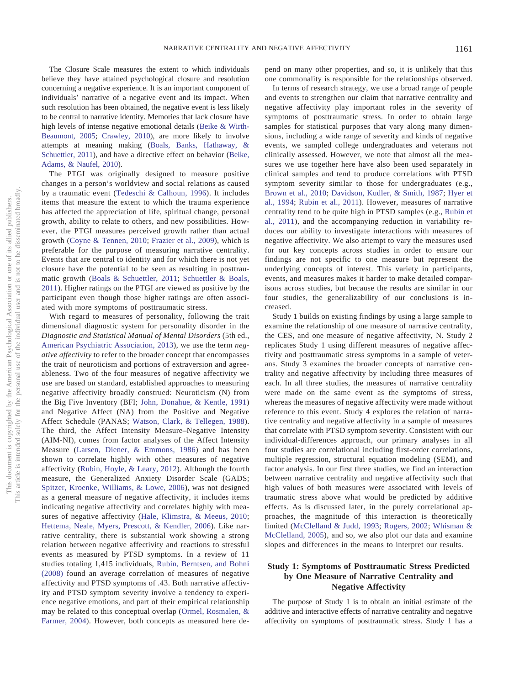The Closure Scale measures the extent to which individuals believe they have attained psychological closure and resolution concerning a negative experience. It is an important component of individuals' narrative of a negative event and its impact. When such resolution has been obtained, the negative event is less likely to be central to narrative identity. Memories that lack closure have high levels of intense negative emotional details [\(Beike & Wirth-](#page-9-2)[Beaumont, 2005;](#page-9-2) [Crawley, 2010\)](#page-10-18), are more likely to involve attempts at meaning making [\(Boals, Banks, Hathaway, &](#page-10-19) [Schuettler, 2011\)](#page-10-19), and have a directive effect on behavior [\(Beike,](#page-9-4) [Adams, & Naufel, 2010\)](#page-9-4).

The PTGI was originally designed to measure positive changes in a person's worldview and social relations as caused by a traumatic event [\(Tedeschi & Calhoun, 1996\)](#page-11-15). It includes items that measure the extent to which the trauma experience has affected the appreciation of life, spiritual change, personal growth, ability to relate to others, and new possibilities. However, the PTGI measures perceived growth rather than actual growth [\(Coyne & Tennen, 2010;](#page-10-20) [Frazier et al., 2009\)](#page-10-21), which is preferable for the purpose of measuring narrative centrality. Events that are central to identity and for which there is not yet closure have the potential to be seen as resulting in posttraumatic growth [\(Boals & Schuettler, 2011;](#page-10-14) [Schuettler & Boals,](#page-11-19) [2011\)](#page-11-19). Higher ratings on the PTGI are viewed as positive by the participant even though those higher ratings are often associated with more symptoms of posttraumatic stress.

With regard to measures of personality, following the trait dimensional diagnostic system for personality disorder in the *Diagnostic and Statistical Manual of Mental Disorders* (5th ed., [American Psychiatric Association, 2013\)](#page-9-5), we use the term *negative affectivity* to refer to the broader concept that encompasses the trait of neuroticism and portions of extraversion and agreeableness. Two of the four measures of negative affectivity we use are based on standard, established approaches to measuring negative affectivity broadly construed: Neuroticism (N) from the Big Five Inventory (BFI; [John, Donahue, & Kentle, 1991\)](#page-10-22) and Negative Affect (NA) from the Positive and Negative Affect Schedule (PANAS; [Watson, Clark, & Tellegen, 1988\)](#page-11-21). The third, the Affect Intensity Measure–Negative Intensity (AIM-NI), comes from factor analyses of the Affect Intensity Measure [\(Larsen, Diener, & Emmons, 1986\)](#page-10-23) and has been shown to correlate highly with other measures of negative affectivity [\(Rubin, Hoyle, & Leary, 2012\)](#page-11-22). Although the fourth measure, the Generalized Anxiety Disorder Scale (GADS; [Spitzer, Kroenke, Williams, & Lowe, 2006\)](#page-11-23), was not designed as a general measure of negative affectivity, it includes items indicating negative affectivity and correlates highly with measures of negative affectivity [\(Hale, Klimstra, & Meeus, 2010;](#page-10-24) [Hettema, Neale, Myers, Prescott, & Kendler, 2006\)](#page-10-25). Like narrative centrality, there is substantial work showing a strong relation between negative affectivity and reactions to stressful events as measured by PTSD symptoms. In a review of 11 studies totaling 1,415 individuals, [Rubin, Berntsen, and Bohni](#page-11-11) [\(2008\)](#page-11-11) found an average correlation of measures of negative affectivity and PTSD symptoms of .43. Both narrative affectivity and PTSD symptom severity involve a tendency to experience negative emotions, and part of their empirical relationship may be related to this conceptual overlap [\(Ormel, Rosmalen, &](#page-11-24) [Farmer, 2004\)](#page-11-24). However, both concepts as measured here de-

pend on many other properties, and so, it is unlikely that this one commonality is responsible for the relationships observed.

In terms of research strategy, we use a broad range of people and events to strengthen our claim that narrative centrality and negative affectivity play important roles in the severity of symptoms of posttraumatic stress. In order to obtain large samples for statistical purposes that vary along many dimensions, including a wide range of severity and kinds of negative events, we sampled college undergraduates and veterans not clinically assessed. However, we note that almost all the measures we use together here have also been used separately in clinical samples and tend to produce correlations with PTSD symptom severity similar to those for undergraduates (e.g., [Brown et al., 2010;](#page-10-16) [Davidson, Kudler, & Smith, 1987;](#page-10-26) [Hyer et](#page-10-27) [al., 1994;](#page-10-27) [Rubin et al., 2011\)](#page-11-14). However, measures of narrative centrality tend to be quite high in PTSD samples (e.g., [Rubin et](#page-11-14) [al., 2011\)](#page-11-14), and the accompanying reduction in variability reduces our ability to investigate interactions with measures of negative affectivity. We also attempt to vary the measures used for our key concepts across studies in order to ensure our findings are not specific to one measure but represent the underlying concepts of interest. This variety in participants, events, and measures makes it harder to make detailed comparisons across studies, but because the results are similar in our four studies, the generalizability of our conclusions is increased.

Study 1 builds on existing findings by using a large sample to examine the relationship of one measure of narrative centrality, the CES, and one measure of negative affectivity, N. Study 2 replicates Study 1 using different measures of negative affectivity and posttraumatic stress symptoms in a sample of veterans. Study 3 examines the broader concepts of narrative centrality and negative affectivity by including three measures of each. In all three studies, the measures of narrative centrality were made on the same event as the symptoms of stress, whereas the measures of negative affectivity were made without reference to this event. Study 4 explores the relation of narrative centrality and negative affectivity in a sample of measures that correlate with PTSD symptom severity. Consistent with our individual-differences approach, our primary analyses in all four studies are correlational including first-order correlations, multiple regression, structural equation modeling (SEM), and factor analysis. In our first three studies, we find an interaction between narrative centrality and negative affectivity such that high values of both measures were associated with levels of traumatic stress above what would be predicted by additive effects. As is discussed later, in the purely correlational approaches, the magnitude of this interaction is theoretically limited [\(McClelland & Judd, 1993;](#page-11-25) [Rogers, 2002;](#page-11-26) [Whisman &](#page-11-27) [McClelland, 2005\)](#page-11-27), and so, we also plot our data and examine slopes and differences in the means to interpret our results.

# **Study 1: Symptoms of Posttraumatic Stress Predicted by One Measure of Narrative Centrality and Negative Affectivity**

The purpose of Study 1 is to obtain an initial estimate of the additive and interactive effects of narrative centrality and negative affectivity on symptoms of posttraumatic stress. Study 1 has a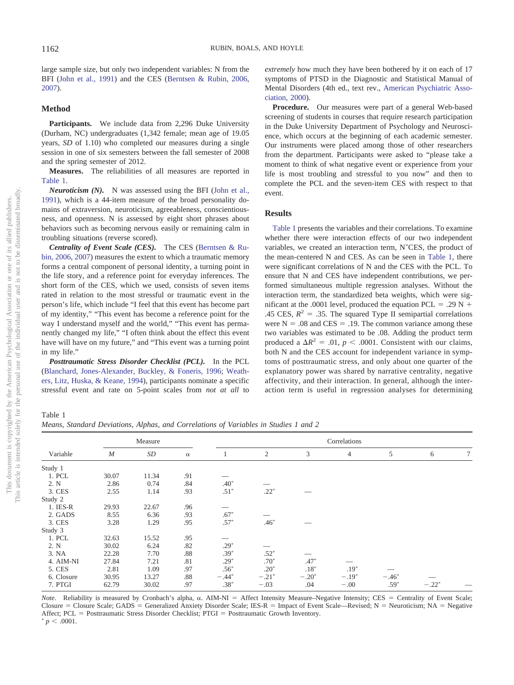large sample size, but only two independent variables: N from the BFI [\(John et al., 1991\)](#page-10-22) and the CES [\(Berntsen & Rubin, 2006,](#page-9-1) [2007\)](#page-9-3).

#### **Method**

**Participants.** We include data from 2,296 Duke University (Durham, NC) undergraduates (1,342 female; mean age of 19.05 years, *SD* of 1.10) who completed our measures during a single session in one of six semesters between the fall semester of 2008 and the spring semester of 2012.

**Measures.** The reliabilities of all measures are reported in [Table 1.](#page-3-0)

*Neuroticism (N).* N was assessed using the BFI [\(John et al.,](#page-10-22) [1991\)](#page-10-22), which is a 44-item measure of the broad personality domains of extraversion, neuroticism, agreeableness, conscientiousness, and openness. N is assessed by eight short phrases about behaviors such as becoming nervous easily or remaining calm in troubling situations (reverse scored).

*Centrality of Event Scale (CES).* The CES [\(Berntsen & Ru](#page-9-1)[bin, 2006,](#page-9-1) [2007\)](#page-9-3) measures the extent to which a traumatic memory forms a central component of personal identity, a turning point in the life story, and a reference point for everyday inferences. The short form of the CES, which we used, consists of seven items rated in relation to the most stressful or traumatic event in the person's life, which include "I feel that this event has become part of my identity," "This event has become a reference point for the way I understand myself and the world," "This event has permanently changed my life," "I often think about the effect this event have will have on my future," and "This event was a turning point in my life."

*Posttraumatic Stress Disorder Checklist (PCL).* In the PCL [\(Blanchard, Jones-Alexander, Buckley, & Foneris, 1996;](#page-10-28) [Weath](#page-11-28)[ers, Litz, Huska, & Keane, 1994\)](#page-11-28), participants nominate a specific stressful event and rate on 5-point scales from *not at all* to *extremely* how much they have been bothered by it on each of 17 symptoms of PTSD in the Diagnostic and Statistical Manual of Mental Disorders (4th ed., text rev., [American Psychiatric Asso](#page-9-6)[ciation, 2000\)](#page-9-6).

**Procedure.** Our measures were part of a general Web-based screening of students in courses that require research participation in the Duke University Department of Psychology and Neuroscience, which occurs at the beginning of each academic semester. Our instruments were placed among those of other researchers from the department. Participants were asked to "please take a moment to think of what negative event or experience from your life is most troubling and stressful to you now" and then to complete the PCL and the seven-item CES with respect to that event.

# **Results**

[Table 1](#page-3-0) presents the variables and their correlations. To examine whether there were interaction effects of our two independent variables, we created an interaction term,  $N^*CES$ , the product of the mean-centered N and CES. As can be seen in [Table 1,](#page-3-0) there were significant correlations of N and the CES with the PCL. To ensure that N and CES have independent contributions, we performed simultaneous multiple regression analyses. Without the interaction term, the standardized beta weights, which were significant at the .0001 level, produced the equation PCL = .29 N + .45 CES,  $R^2 = 0.35$ . The squared Type II semipartial correlations were  $N = .08$  and CES = .19. The common variance among these two variables was estimated to be .08. Adding the product term produced a  $\Delta R^2 = .01$ ,  $p < .0001$ . Consistent with our claims, both N and the CES account for independent variance in symptoms of posttraumatic stress, and only about one quarter of the explanatory power was shared by narrative centrality, negative affectivity, and their interaction. In general, although the interaction term is useful in regression analyses for determining

<span id="page-3-0"></span>Table 1

| Means, Standard Deviations, Alphas, and Correlations of Variables in Studies 1 and 2 |  |  |  |  |  |  |  |  |  |  |  |
|--------------------------------------------------------------------------------------|--|--|--|--|--|--|--|--|--|--|--|
|--------------------------------------------------------------------------------------|--|--|--|--|--|--|--|--|--|--|--|

|            |                  | Measure | Correlations |              |                |         |         |         |         |   |  |
|------------|------------------|---------|--------------|--------------|----------------|---------|---------|---------|---------|---|--|
| Variable   | $\boldsymbol{M}$ | SD      | $\alpha$     |              | $\mathfrak{2}$ | 3       | 4       | 5       | 6       | 7 |  |
| Study 1    |                  |         |              |              |                |         |         |         |         |   |  |
| 1. PCL     | 30.07            | 11.34   | .91          |              |                |         |         |         |         |   |  |
| 2. N       | 2.86             | 0.74    | .84          | $.40*$       |                |         |         |         |         |   |  |
| 3. CES     | 2.55             | 1.14    | .93          | $.51^{\ast}$ | $.22*$         |         |         |         |         |   |  |
| Study 2    |                  |         |              |              |                |         |         |         |         |   |  |
| $1.$ IES-R | 29.93            | 22.67   | .96          |              |                |         |         |         |         |   |  |
| 2. GADS    | 8.55             | 6.36    | .93          | $.67*$       |                |         |         |         |         |   |  |
| 3. CES     | 3.28             | 1.29    | .95          | $.57*$       | $.46*$         |         |         |         |         |   |  |
| Study 3    |                  |         |              |              |                |         |         |         |         |   |  |
| 1. PCL     | 32.63            | 15.52   | .95          |              |                |         |         |         |         |   |  |
| 2. N       | 30.02            | 6.24    | .82          | $.29*$       |                |         |         |         |         |   |  |
| 3. NA      | 22.28            | 7.70    | .88          | $.39*$       | $.52*$         |         |         |         |         |   |  |
| 4. AIM-NI  | 27.84            | 7.21    | .81          | $.29*$       | $.70*$         | $.47*$  |         |         |         |   |  |
| 5. CES     | 2.81             | 1.09    | .97          | $.56*$       | $.20*$         | $.18*$  | $.19*$  |         |         |   |  |
| 6. Closure | 30.95            | 13.27   | .88          | $-.44*$      | $-.21*$        | $-.20*$ | $-.19*$ | $-.46*$ |         |   |  |
| 7. PTGI    | 62.79            | 30.02   | .97          | $.38*$       | $-.03$         | .04     | $-.00$  | $.59*$  | $-.22*$ |   |  |
|            |                  |         |              |              |                |         |         |         |         |   |  |

Note. Reliability is measured by Cronbach's alpha, α. AIM-NI = Affect Intensity Measure–Negative Intensity; CES = Centrality of Event Scale; Closure = Closure Scale; GADS = Generalized Anxiety Disorder Scale; IES-R = Impact of Event Scale—Revised; N = Neuroticism; NA = Negative Affect; PCL = Posttraumatic Stress Disorder Checklist; PTGI = Posttraumatic Growth Inventory.<br>\*  $n \leq 0.001$  $p < .0001$ .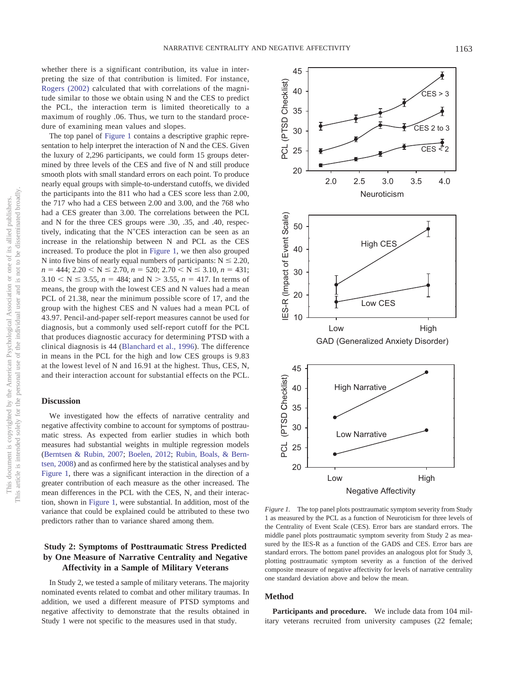whether there is a significant contribution, its value in interpreting the size of that contribution is limited. For instance, [Rogers \(2002\)](#page-11-26) calculated that with correlations of the magnitude similar to those we obtain using N and the CES to predict the PCL, the interaction term is limited theoretically to a maximum of roughly .06. Thus, we turn to the standard procedure of examining mean values and slopes.

The top panel of [Figure 1](#page-4-0) contains a descriptive graphic representation to help interpret the interaction of N and the CES. Given the luxury of 2,296 participants, we could form 15 groups determined by three levels of the CES and five of N and still produce smooth plots with small standard errors on each point. To produce nearly equal groups with simple-to-understand cutoffs, we divided the participants into the 811 who had a CES score less than 2.00, the 717 who had a CES between 2.00 and 3.00, and the 768 who had a CES greater than 3.00. The correlations between the PCL and N for the three CES groups were .30, .35, and .40, respectively, indicating that the N<sup>\*</sup>CES interaction can be seen as an increase in the relationship between N and PCL as the CES increased. To produce the plot in [Figure 1,](#page-4-0) we then also grouped N into five bins of nearly equal numbers of participants:  $N \le 2.20$ ,  $n = 444$ ; 2.20  $\lt N \le 2.70$ ,  $n = 520$ ; 2.70  $\lt N \le 3.10$ ,  $n = 431$ ;  $3.10 < N \le 3.55$ ,  $n = 484$ ; and  $N > 3.55$ ,  $n = 417$ . In terms of means, the group with the lowest CES and N values had a mean PCL of 21.38, near the minimum possible score of 17, and the group with the highest CES and N values had a mean PCL of 43.97. Pencil-and-paper self-report measures cannot be used for diagnosis, but a commonly used self-report cutoff for the PCL that produces diagnostic accuracy for determining PTSD with a clinical diagnosis is 44 [\(Blanchard et al., 1996\)](#page-10-28). The difference in means in the PCL for the high and low CES groups is 9.83 at the lowest level of N and 16.91 at the highest. Thus, CES, N, and their interaction account for substantial effects on the PCL.

#### **Discussion**

We investigated how the effects of narrative centrality and negative affectivity combine to account for symptoms of posttraumatic stress. As expected from earlier studies in which both measures had substantial weights in multiple regression models [\(Berntsen & Rubin, 2007;](#page-9-3) [Boelen, 2012;](#page-10-13) [Rubin, Boals, & Bern](#page-11-20)[tsen, 2008\)](#page-11-20) and as confirmed here by the statistical analyses and by [Figure 1,](#page-4-0) there was a significant interaction in the direction of a greater contribution of each measure as the other increased. The mean differences in the PCL with the CES, N, and their interaction, shown in [Figure 1,](#page-4-0) were substantial. In addition, most of the variance that could be explained could be attributed to these two predictors rather than to variance shared among them.

# **Study 2: Symptoms of Posttraumatic Stress Predicted by One Measure of Narrative Centrality and Negative Affectivity in a Sample of Military Veterans**

In Study 2, we tested a sample of military veterans. The majority nominated events related to combat and other military traumas. In addition, we used a different measure of PTSD symptoms and negative affectivity to demonstrate that the results obtained in Study 1 were not specific to the measures used in that study.



<span id="page-4-0"></span>*Figure 1.* The top panel plots posttraumatic symptom severity from Study 1 as measured by the PCL as a function of Neuroticism for three levels of the Centrality of Event Scale (CES). Error bars are standard errors. The middle panel plots posttraumatic symptom severity from Study 2 as measured by the IES-R as a function of the GADS and CES. Error bars are standard errors. The bottom panel provides an analogous plot for Study 3, plotting posttraumatic symptom severity as a function of the derived composite measure of negative affectivity for levels of narrative centrality one standard deviation above and below the mean.

#### **Method**

**Participants and procedure.** We include data from 104 military veterans recruited from university campuses (22 female;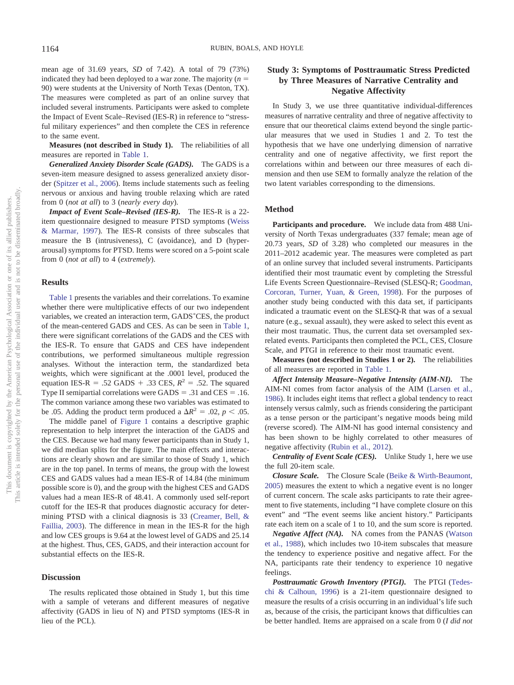mean age of 31.69 years, *SD* of 7.42). A total of 79 (73%) indicated they had been deployed to a war zone. The majority  $(n =$ 90) were students at the University of North Texas (Denton, TX). The measures were completed as part of an online survey that included several instruments. Participants were asked to complete the Impact of Event Scale–Revised (IES-R) in reference to "stressful military experiences" and then complete the CES in reference to the same event.

**Measures (not described in Study 1).** The reliabilities of all measures are reported in [Table 1.](#page-3-0)

*Generalized Anxiety Disorder Scale (GADS).* The GADS is a seven-item measure designed to assess generalized anxiety disorder [\(Spitzer et al., 2006\)](#page-11-23). Items include statements such as feeling nervous or anxious and having trouble relaxing which are rated from 0 (*not at all*) to 3 (*nearly every day*).

*Impact of Event Scale–Revised (IES-R).* The IES-R is a 22 item questionnaire designed to measure PTSD symptoms [\(Weiss](#page-11-29) [& Marmar, 1997\)](#page-11-29). The IES-R consists of three subscales that measure the B (intrusiveness), C (avoidance), and D (hyperarousal) symptoms for PTSD. Items were scored on a 5-point scale from 0 (*not at all*) to 4 (*extremely*).

#### **Results**

[Table 1](#page-3-0) presents the variables and their correlations. To examine whether there were multiplicative effects of our two independent variables, we created an interaction term, GADS\*CES, the product of the mean-centered GADS and CES. As can be seen in [Table 1,](#page-3-0) there were significant correlations of the GADS and the CES with the IES-R. To ensure that GADS and CES have independent contributions, we performed simultaneous multiple regression analyses. Without the interaction term, the standardized beta weights, which were significant at the .0001 level, produced the equation IES-R = .52 GADS + .33 CES,  $R^2$  = .52. The squared Type II semipartial correlations were  $GADS = .31$  and  $CES = .16$ . The common variance among these two variables was estimated to be .05. Adding the product term produced a  $\Delta R^2 = .02$ ,  $p < .05$ .

The middle panel of [Figure 1](#page-4-0) contains a descriptive graphic representation to help interpret the interaction of the GADS and the CES. Because we had many fewer participants than in Study 1, we did median splits for the figure. The main effects and interactions are clearly shown and are similar to those of Study 1, which are in the top panel. In terms of means, the group with the lowest CES and GADS values had a mean IES-R of 14.84 (the minimum possible score is 0), and the group with the highest CES and GADS values had a mean IES-R of 48.41. A commonly used self-report cutoff for the IES-R that produces diagnostic accuracy for determining PTSD with a clinical diagnosis is 33 [\(Creamer, Bell, &](#page-10-29) [Faillia, 2003\)](#page-10-29). The difference in mean in the IES-R for the high and low CES groups is 9.64 at the lowest level of GADS and 25.14 at the highest. Thus, CES, GADS, and their interaction account for substantial effects on the IES-R.

#### **Discussion**

The results replicated those obtained in Study 1, but this time with a sample of veterans and different measures of negative affectivity (GADS in lieu of N) and PTSD symptoms (IES-R in lieu of the PCL).

# **Study 3: Symptoms of Posttraumatic Stress Predicted by Three Measures of Narrative Centrality and Negative Affectivity**

In Study 3, we use three quantitative individual-differences measures of narrative centrality and three of negative affectivity to ensure that our theoretical claims extend beyond the single particular measures that we used in Studies 1 and 2. To test the hypothesis that we have one underlying dimension of narrative centrality and one of negative affectivity, we first report the correlations within and between our three measures of each dimension and then use SEM to formally analyze the relation of the two latent variables corresponding to the dimensions.

## **Method**

**Participants and procedure.** We include data from 488 University of North Texas undergraduates (337 female; mean age of 20.73 years, *SD* of 3.28) who completed our measures in the 2011–2012 academic year. The measures were completed as part of an online survey that included several instruments. Participants identified their most traumatic event by completing the Stressful Life Events Screen Questionnaire–Revised (SLESQ-R; [Goodman,](#page-10-30) [Corcoran, Turner, Yuan, & Green, 1998\)](#page-10-30). For the purposes of another study being conducted with this data set, if participants indicated a traumatic event on the SLESQ-R that was of a sexual nature (e.g., sexual assault), they were asked to select this event as their most traumatic. Thus, the current data set oversampled sexrelated events. Participants then completed the PCL, CES, Closure Scale, and PTGI in reference to their most traumatic event.

**Measures (not described in Studies 1 or 2).** The reliabilities of all measures are reported in [Table 1.](#page-3-0)

*Affect Intensity Measure–Negative Intensity (AIM-NI).* The AIM-NI comes from factor analysis of the AIM [\(Larsen et al.,](#page-10-23) [1986\)](#page-10-23). It includes eight items that reflect a global tendency to react intensely versus calmly, such as friends considering the participant as a tense person or the participant's negative moods being mild (reverse scored). The AIM-NI has good internal consistency and has been shown to be highly correlated to other measures of negative affectivity [\(Rubin et al., 2012\)](#page-11-22).

*Centrality of Event Scale (CES).* Unlike Study 1, here we use the full 20-item scale.

*Closure Scale.* The Closure Scale [\(Beike & Wirth-Beaumont,](#page-9-2) [2005\)](#page-9-2) measures the extent to which a negative event is no longer of current concern. The scale asks participants to rate their agreement to five statements, including "I have complete closure on this event" and "The event seems like ancient history." Participants rate each item on a scale of 1 to 10, and the sum score is reported.

*Negative Affect (NA).* NA comes from the PANAS [\(Watson](#page-11-21) [et al., 1988\)](#page-11-21), which includes two 10-item subscales that measure the tendency to experience positive and negative affect. For the NA, participants rate their tendency to experience 10 negative feelings.

*Posttraumatic Growth Inventory (PTGI).* The PTGI [\(Tedes](#page-11-15)[chi & Calhoun, 1996\)](#page-11-15) is a 21-item questionnaire designed to measure the results of a crisis occurring in an individual's life such as, because of the crisis, the participant knows that difficulties can be better handled. Items are appraised on a scale from 0 (*I did not*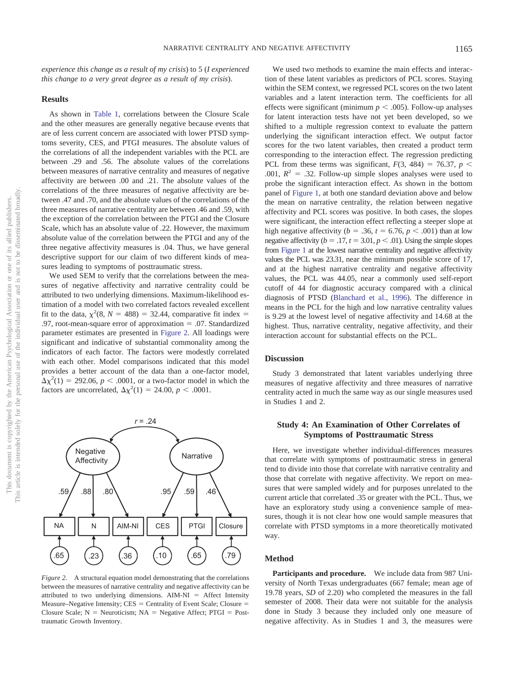*experience this change as a result of my crisis*) to 5 (*I experienced this change to a very great degree as a result of my crisis*).

### **Results**

As shown in [Table 1,](#page-3-0) correlations between the Closure Scale and the other measures are generally negative because events that are of less current concern are associated with lower PTSD symptoms severity, CES, and PTGI measures. The absolute values of the correlations of all the independent variables with the PCL are between .29 and .56. The absolute values of the correlations between measures of narrative centrality and measures of negative affectivity are between .00 and .21. The absolute values of the correlations of the three measures of negative affectivity are between .47 and .70, and the absolute values of the correlations of the three measures of narrative centrality are between .46 and .59, with the exception of the correlation between the PTGI and the Closure Scale, which has an absolute value of .22. However, the maximum absolute value of the correlation between the PTGI and any of the three negative affectivity measures is .04. Thus, we have general descriptive support for our claim of two different kinds of measures leading to symptoms of posttraumatic stress.

We used SEM to verify that the correlations between the measures of negative affectivity and narrative centrality could be attributed to two underlying dimensions. Maximum-likelihood estimation of a model with two correlated factors revealed excellent fit to the data,  $\chi^2(8, N = 488) = 32.44$ , comparative fit index = .97, root-mean-square error of approximation  $= .07$ . Standardized parameter estimates are presented in [Figure 2.](#page-6-0) All loadings were significant and indicative of substantial commonality among the indicators of each factor. The factors were modestly correlated with each other. Model comparisons indicated that this model provides a better account of the data than a one-factor model,  $\Delta \chi^2(1) = 292.06$ ,  $p < .0001$ , or a two-factor model in which the factors are uncorrelated,  $\Delta \chi^2(1) = 24.00, p < .0001$ .



<span id="page-6-0"></span>*Figure 2.* A structural equation model demonstrating that the correlations between the measures of narrative centrality and negative affectivity can be attributed to two underlying dimensions.  $AIM-NI = AfterC$  Intensity  $Measure-Negative Intensity; CES = Centrality of Event Scale; Closure =$ Closure Scale;  $N =$  Neuroticism;  $NA =$  Negative Affect;  $PTGI =$  Posttraumatic Growth Inventory.

We used two methods to examine the main effects and interaction of these latent variables as predictors of PCL scores. Staying within the SEM context, we regressed PCL scores on the two latent variables and a latent interaction term. The coefficients for all effects were significant (minimum  $p \leq .005$ ). Follow-up analyses for latent interaction tests have not yet been developed, so we shifted to a multiple regression context to evaluate the pattern underlying the significant interaction effect. We output factor scores for the two latent variables, then created a product term corresponding to the interaction effect. The regression predicting PCL from these terms was significant,  $F(3, 484) = 76.37$ ,  $p <$ .001,  $R^2 = 0.32$ . Follow-up simple slopes analyses were used to probe the significant interaction effect. As shown in the bottom panel of [Figure 1,](#page-4-0) at both one standard deviation above and below the mean on narrative centrality, the relation between negative affectivity and PCL scores was positive. In both cases, the slopes were significant, the interaction effect reflecting a steeper slope at high negative affectivity ( $b = .36$ ,  $t = 6.76$ ,  $p < .001$ ) than at low negative affectivity ( $b = .17$ ,  $t = 3.01$ ,  $p < .01$ ). Using the simple slopes from [Figure 1](#page-4-0) at the lowest narrative centrality and negative affectivity values the PCL was 23.31, near the minimum possible score of 17, and at the highest narrative centrality and negative affectivity values, the PCL was 44.05, near a commonly used self-report cutoff of 44 for diagnostic accuracy compared with a clinical diagnosis of PTSD [\(Blanchard et al., 1996\)](#page-10-28). The difference in means in the PCL for the high and low narrative centrality values is 9.29 at the lowest level of negative affectivity and 14.68 at the highest. Thus, narrative centrality, negative affectivity, and their interaction account for substantial effects on the PCL.

#### **Discussion**

Study 3 demonstrated that latent variables underlying three measures of negative affectivity and three measures of narrative centrality acted in much the same way as our single measures used in Studies 1 and 2.

## **Study 4: An Examination of Other Correlates of Symptoms of Posttraumatic Stress**

Here, we investigate whether individual-differences measures that correlate with symptoms of posttraumatic stress in general tend to divide into those that correlate with narrative centrality and those that correlate with negative affectivity. We report on measures that were sampled widely and for purposes unrelated to the current article that correlated .35 or greater with the PCL. Thus, we have an exploratory study using a convenience sample of measures, though it is not clear how one would sample measures that correlate with PTSD symptoms in a more theoretically motivated way.

#### **Method**

**Participants and procedure.** We include data from 987 University of North Texas undergraduates (667 female; mean age of 19.78 years, *SD* of 2.20) who completed the measures in the fall semester of 2008. Their data were not suitable for the analysis done in Study 3 because they included only one measure of negative affectivity. As in Studies 1 and 3, the measures were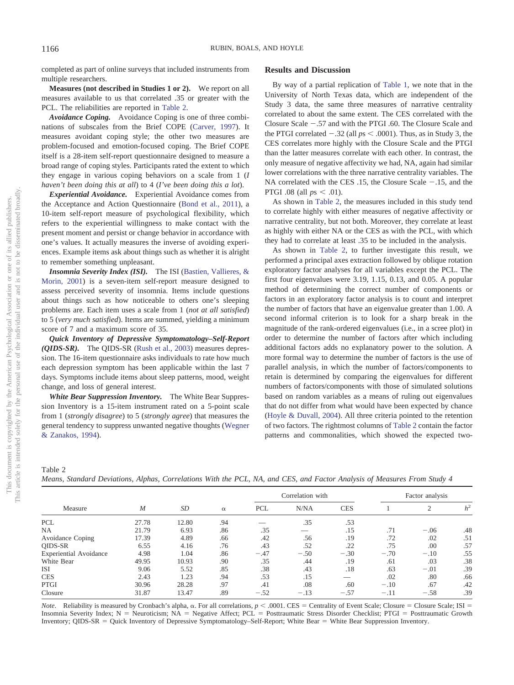completed as part of online surveys that included instruments from multiple researchers.

**Measures (not described in Studies 1 or 2).** We report on all measures available to us that correlated .35 or greater with the PCL. The reliabilities are reported in [Table 2.](#page-7-0)

*Avoidance Coping.* Avoidance Coping is one of three combinations of subscales from the Brief COPE [\(Carver, 1997\)](#page-10-31). It measures avoidant coping style; the other two measures are problem-focused and emotion-focused coping. The Brief COPE itself is a 28-item self-report questionnaire designed to measure a broad range of coping styles. Participants rated the extent to which they engage in various coping behaviors on a scale from 1 (*I haven't been doing this at all*) to 4 (*I've been doing this a lot*).

*Experiential Avoidance.* Experiential Avoidance comes from the Acceptance and Action Questionnaire [\(Bond et al., 2011\)](#page-10-32), a 10-item self-report measure of psychological flexibility, which refers to the experiential willingness to make contact with the present moment and persist or change behavior in accordance with one's values. It actually measures the inverse of avoiding experiences. Example items ask about things such as whether it is alright to remember something unpleasant.

*Insomnia Severity Index (ISI).* The ISI [\(Bastien, Vallieres, &](#page-9-7) [Morin, 2001\)](#page-9-7) is a seven-item self-report measure designed to assess perceived severity of insomnia. Items include questions about things such as how noticeable to others one's sleeping problems are. Each item uses a scale from 1 (*not at all satisfied*) to 5 (*very much satisfied*). Items are summed, yielding a minimum score of 7 and a maximum score of 35.

*Quick Inventory of Depressive Symptomatology–Self-Report (QIDS-SR).* The QIDS-SR [\(Rush et al., 2003\)](#page-11-30) measures depression. The 16-item questionnaire asks individuals to rate how much each depression symptom has been applicable within the last 7 days. Symptoms include items about sleep patterns, mood, weight change, and loss of general interest.

*White Bear Suppression Inventory.* The White Bear Suppression Inventory is a 15-item instrument rated on a 5-point scale from 1 (*strongly disagree*) to 5 (*strongly agree*) that measures the general tendency to suppress unwanted negative thoughts [\(Wegner](#page-11-31) [& Zanakos, 1994\)](#page-11-31).

#### **Results and Discussion**

By way of a partial replication of [Table 1,](#page-3-0) we note that in the University of North Texas data, which are independent of the Study 3 data, the same three measures of narrative centrality correlated to about the same extent. The CES correlated with the Closure Scale  $-.57$  and with the PTGI .60. The Closure Scale and the PTGI correlated  $-.32$  (all  $ps < .0001$ ). Thus, as in Study 3, the CES correlates more highly with the Closure Scale and the PTGI than the latter measures correlate with each other. In contrast, the only measure of negative affectivity we had, NA, again had similar lower correlations with the three narrative centrality variables. The NA correlated with the CES .15, the Closure Scale  $-.15$ , and the **PTGI** .08 (all  $ps < .01$ ).

As shown in [Table 2,](#page-7-0) the measures included in this study tend to correlate highly with either measures of negative affectivity or narrative centrality, but not both. Moreover, they correlate at least as highly with either NA or the CES as with the PCL, with which they had to correlate at least .35 to be included in the analysis.

As shown in [Table 2,](#page-7-0) to further investigate this result, we performed a principal axes extraction followed by oblique rotation exploratory factor analyses for all variables except the PCL. The first four eigenvalues were 3.19, 1.15, 0.13, and 0.05. A popular method of determining the correct number of components or factors in an exploratory factor analysis is to count and interpret the number of factors that have an eigenvalue greater than 1.00. A second informal criterion is to look for a sharp break in the magnitude of the rank-ordered eigenvalues (i.e., in a scree plot) in order to determine the number of factors after which including additional factors adds no explanatory power to the solution. A more formal way to determine the number of factors is the use of parallel analysis, in which the number of factors/components to retain is determined by comparing the eigenvalues for different numbers of factors/components with those of simulated solutions based on random variables as a means of ruling out eigenvalues that do not differ from what would have been expected by chance [\(Hoyle & Duvall, 2004\)](#page-10-33). All three criteria pointed to the retention of two factors. The rightmost columns of [Table 2](#page-7-0) contain the factor patterns and commonalities, which showed the expected two-

<span id="page-7-0"></span>Table 2

*Means, Standard Deviations, Alphas, Correlations With the PCL, NA, and CES, and Factor Analysis of Measures From Study 4*

| Measure                       | $\boldsymbol{M}$ | SD    | $\alpha$ |            | Correlation with | Factor analysis |        |        |                |
|-------------------------------|------------------|-------|----------|------------|------------------|-----------------|--------|--------|----------------|
|                               |                  |       |          | <b>PCL</b> | N/NA             | <b>CES</b>      |        |        | h <sup>2</sup> |
| <b>PCL</b>                    | 27.78            | 12.80 | .94      |            | .35              | .53             |        |        |                |
| <b>NA</b>                     | 21.79            | 6.93  | .86      | .35        |                  | .15             | .71    | $-.06$ | .48            |
| Avoidance Coping              | 17.39            | 4.89  | .66      | .42        | .56              | .19             | .72    | .02    | .51            |
| QIDS-SR                       | 6.55             | 4.16  | .76      | .43        | .52              | .22             | .75    | .00    | .57            |
| <b>Experiential Avoidance</b> | 4.98             | 1.04  | .86      | $-.47$     | $-.50$           | $-.30$          | $-.70$ | $-.10$ | .55            |
| White Bear                    | 49.95            | 10.93 | .90      | .35        | .44              | .19             | .61    | .03    | .38            |
| <b>ISI</b>                    | 9.06             | 5.52  | .85      | .38        | .43              | .18             | .63    | $-.01$ | .39            |
| <b>CES</b>                    | 2.43             | 1.23  | .94      | .53        | .15              |                 | .02    | .80    | .66            |
| <b>PTGI</b>                   | 30.96            | 28.28 | .97      | .41        | .08              | .60             | $-.10$ | .67    | .42            |
| Closure                       | 31.87            | 13.47 | .89      | $-.52$     | $-.13$           | $-.57$          | $-.11$ | $-.58$ | .39            |

*Note.* Reliability is measured by Cronbach's alpha,  $\alpha$ . For all correlations,  $p < .0001$ . CES = Centrality of Event Scale; Closure = Closure Scale; ISI = Insomnia Severity Index; N = Neuroticism; NA = Negative Affect; PCL = Posttraumatic Stress Disorder Checklist; PTGI = Posttraumatic Growth Inventory; QIDS-SR = Quick Inventory of Depressive Symptomatology–Self-Report; White Bear = White Bear Suppression Inventory.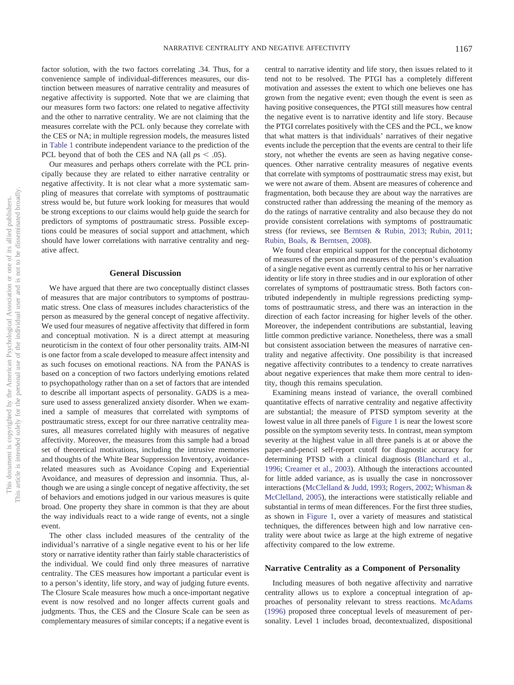factor solution, with the two factors correlating .34. Thus, for a convenience sample of individual-differences measures, our distinction between measures of narrative centrality and measures of negative affectivity is supported. Note that we are claiming that our measures form two factors: one related to negative affectivity and the other to narrative centrality. We are not claiming that the measures correlate with the PCL only because they correlate with the CES or NA; in multiple regression models, the measures listed in [Table 1](#page-3-0) contribute independent variance to the prediction of the PCL beyond that of both the CES and NA (all  $ps < .05$ ).

Our measures and perhaps others correlate with the PCL principally because they are related to either narrative centrality or negative affectivity. It is not clear what a more systematic sampling of measures that correlate with symptoms of posttraumatic stress would be, but future work looking for measures that would be strong exceptions to our claims would help guide the search for predictors of symptoms of posttraumatic stress. Possible exceptions could be measures of social support and attachment, which should have lower correlations with narrative centrality and negative affect.

#### **General Discussion**

We have argued that there are two conceptually distinct classes of measures that are major contributors to symptoms of posttraumatic stress. One class of measures includes characteristics of the person as measured by the general concept of negative affectivity. We used four measures of negative affectivity that differed in form and conceptual motivation. N is a direct attempt at measuring neuroticism in the context of four other personality traits. AIM-NI is one factor from a scale developed to measure affect intensity and as such focuses on emotional reactions. NA from the PANAS is based on a conception of two factors underlying emotions related to psychopathology rather than on a set of factors that are intended to describe all important aspects of personality. GADS is a measure used to assess generalized anxiety disorder. When we examined a sample of measures that correlated with symptoms of posttraumatic stress, except for our three narrative centrality measures, all measures correlated highly with measures of negative affectivity. Moreover, the measures from this sample had a broad set of theoretical motivations, including the intrusive memories and thoughts of the White Bear Suppression Inventory, avoidancerelated measures such as Avoidance Coping and Experiential Avoidance, and measures of depression and insomnia. Thus, although we are using a single concept of negative affectivity, the set of behaviors and emotions judged in our various measures is quite broad. One property they share in common is that they are about the way individuals react to a wide range of events, not a single event.

The other class included measures of the centrality of the individual's narrative of a single negative event to his or her life story or narrative identity rather than fairly stable characteristics of the individual. We could find only three measures of narrative centrality. The CES measures how important a particular event is to a person's identity, life story, and way of judging future events. The Closure Scale measures how much a once-important negative event is now resolved and no longer affects current goals and judgments. Thus, the CES and the Closure Scale can be seen as complementary measures of similar concepts; if a negative event is central to narrative identity and life story, then issues related to it tend not to be resolved. The PTGI has a completely different motivation and assesses the extent to which one believes one has grown from the negative event; even though the event is seen as having positive consequences, the PTGI still measures how central the negative event is to narrative identity and life story. Because the PTGI correlates positively with the CES and the PCL, we know that what matters is that individuals' narratives of their negative events include the perception that the events are central to their life story, not whether the events are seen as having negative consequences. Other narrative centrality measures of negative events that correlate with symptoms of posttraumatic stress may exist, but we were not aware of them. Absent are measures of coherence and fragmentation, both because they are about way the narratives are constructed rather than addressing the meaning of the memory as do the ratings of narrative centrality and also because they do not provide consistent correlations with symptoms of posttraumatic stress (for reviews, see [Berntsen & Rubin, 2013;](#page-9-8) [Rubin, 2011;](#page-11-32) [Rubin, Boals, & Berntsen, 2008\)](#page-11-20).

We found clear empirical support for the conceptual dichotomy of measures of the person and measures of the person's evaluation of a single negative event as currently central to his or her narrative identity or life story in three studies and in our exploration of other correlates of symptoms of posttraumatic stress. Both factors contributed independently in multiple regressions predicting symptoms of posttraumatic stress, and there was an interaction in the direction of each factor increasing for higher levels of the other. Moreover, the independent contributions are substantial, leaving little common predictive variance. Nonetheless, there was a small but consistent association between the measures of narrative centrality and negative affectivity. One possibility is that increased negative affectivity contributes to a tendency to create narratives about negative experiences that make them more central to identity, though this remains speculation.

Examining means instead of variance, the overall combined quantitative effects of narrative centrality and negative affectivity are substantial; the measure of PTSD symptom severity at the lowest value in all three panels of [Figure 1](#page-4-0) is near the lowest score possible on the symptom severity tests. In contrast, mean symptom severity at the highest value in all three panels is at or above the paper-and-pencil self-report cutoff for diagnostic accuracy for determining PTSD with a clinical diagnosis [\(Blanchard et al.,](#page-10-28) [1996;](#page-10-28) [Creamer et al., 2003\)](#page-10-29). Although the interactions accounted for little added variance, as is usually the case in noncrossover interactions [\(McClelland & Judd, 1993;](#page-11-25) [Rogers, 2002;](#page-11-26) [Whisman &](#page-11-27) [McClelland, 2005\)](#page-11-27), the interactions were statistically reliable and substantial in terms of mean differences. For the first three studies, as shown in [Figure 1,](#page-4-0) over a variety of measures and statistical techniques, the differences between high and low narrative centrality were about twice as large at the high extreme of negative affectivity compared to the low extreme.

#### **Narrative Centrality as a Component of Personality**

Including measures of both negative affectivity and narrative centrality allows us to explore a conceptual integration of approaches of personality relevant to stress reactions. [McAdams](#page-10-3) [\(1996\)](#page-10-3) proposed three conceptual levels of measurement of personality. Level 1 includes broad, decontextualized, dispositional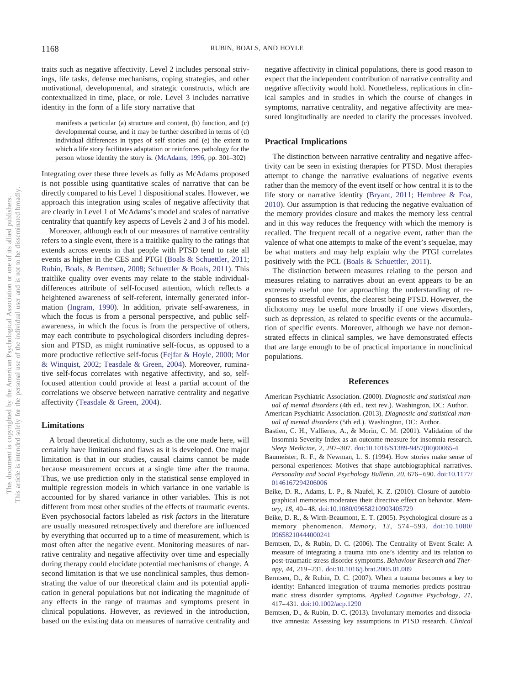traits such as negative affectivity. Level 2 includes personal strivings, life tasks, defense mechanisms, coping strategies, and other motivational, developmental, and strategic constructs, which are contextualized in time, place, or role. Level 3 includes narrative identity in the form of a life story narrative that

manifests a particular (a) structure and content, (b) function, and (c) developmental course, and it may be further described in terms of (d) individual differences in types of self stories and (e) the extent to which a life story facilitates adaptation or reinforces pathology for the person whose identity the story is. [\(McAdams, 1996,](#page-10-3) pp. 301–302)

Integrating over these three levels as fully as McAdams proposed is not possible using quantitative scales of narrative that can be directly compared to his Level 1 dispositional scales. However, we approach this integration using scales of negative affectivity that are clearly in Level 1 of McAdams's model and scales of narrative centrality that quantify key aspects of Levels 2 and 3 of his model.

Moreover, although each of our measures of narrative centrality refers to a single event, there is a traitlike quality to the ratings that extends across events in that people with PTSD tend to rate all events as higher in the CES and PTGI [\(Boals & Schuettler, 2011;](#page-10-14) [Rubin, Boals, & Berntsen, 2008;](#page-11-20) [Schuettler & Boals, 2011\)](#page-11-19). This traitlike quality over events may relate to the stable individualdifferences attribute of self-focused attention, which reflects a heightened awareness of self-referent, internally generated information [\(Ingram, 1990\)](#page-10-34). In addition, private self-awareness, in which the focus is from a personal perspective, and public selfawareness, in which the focus is from the perspective of others, may each contribute to psychological disorders including depression and PTSD, as might ruminative self-focus, as opposed to a more productive reflective self-focus [\(Fejfar & Hoyle, 2000;](#page-10-35) [Mor](#page-11-33) [& Winquist, 2002;](#page-11-33) [Teasdale & Green, 2004\)](#page-11-34). Moreover, ruminative self-focus correlates with negative affectivity, and so, selffocused attention could provide at least a partial account of the correlations we observe between narrative centrality and negative affectivity [\(Teasdale & Green, 2004\)](#page-11-34).

## **Limitations**

A broad theoretical dichotomy, such as the one made here, will certainly have limitations and flaws as it is developed. One major limitation is that in our studies, causal claims cannot be made because measurement occurs at a single time after the trauma. Thus, we use prediction only in the statistical sense employed in multiple regression models in which variance in one variable is accounted for by shared variance in other variables. This is not different from most other studies of the effects of traumatic events. Even psychosocial factors labeled as *risk factors* in the literature are usually measured retrospectively and therefore are influenced by everything that occurred up to a time of measurement, which is most often after the negative event. Monitoring measures of narrative centrality and negative affectivity over time and especially during therapy could elucidate potential mechanisms of change. A second limitation is that we use nonclinical samples, thus demonstrating the value of our theoretical claim and its potential application in general populations but not indicating the magnitude of any effects in the range of traumas and symptoms present in clinical populations. However, as reviewed in the introduction, based on the existing data on measures of narrative centrality and negative affectivity in clinical populations, there is good reason to expect that the independent contribution of narrative centrality and negative affectivity would hold. Nonetheless, replications in clinical samples and in studies in which the course of changes in symptoms, narrative centrality, and negative affectivity are measured longitudinally are needed to clarify the processes involved.

## **Practical Implications**

The distinction between narrative centrality and negative affectivity can be seen in existing therapies for PTSD. Most therapies attempt to change the narrative evaluations of negative events rather than the memory of the event itself or how central it is to the life story or narrative identity [\(Bryant, 2011;](#page-10-6) [Hembree & Foa,](#page-10-7) [2010\)](#page-10-7). Our assumption is that reducing the negative evaluation of the memory provides closure and makes the memory less central and in this way reduces the frequency with which the memory is recalled. The frequent recall of a negative event, rather than the valence of what one attempts to make of the event's sequelae, may be what matters and may help explain why the PTGI correlates positively with the PCL [\(Boals & Schuettler, 2011\)](#page-10-14).

The distinction between measures relating to the person and measures relating to narratives about an event appears to be an extremely useful one for approaching the understanding of responses to stressful events, the clearest being PTSD. However, the dichotomy may be useful more broadly if one views disorders, such as depression, as related to specific events or the accumulation of specific events. Moreover, although we have not demonstrated effects in clinical samples, we have demonstrated effects that are large enough to be of practical importance in nonclinical populations.

#### **References**

- <span id="page-9-6"></span>American Psychiatric Association. (2000). *Diagnostic and statistical manual of mental disorders* (4th ed., text rev.). Washington, DC: Author.
- <span id="page-9-5"></span>American Psychiatric Association. (2013). *Diagnostic and statistical manual of mental disorders* (5th ed.). Washington, DC: Author.
- <span id="page-9-7"></span>Bastien, C. H., Vallieres, A., & Morin, C. M. (2001). Validation of the Insomnia Severity Index as an outcome measure for insomnia research. *Sleep Medicine, 2,* 297–307. [doi:10.1016/S1389-9457\(00\)00065-4](http://dx.doi.org/10.1016/S1389-9457%2800%2900065-4)
- <span id="page-9-0"></span>Baumeister, R. F., & Newman, L. S. (1994). How stories make sense of personal experiences: Motives that shape autobiographical narratives. *Personality and Social Psychology Bulletin, 20,* 676 – 690. [doi:10.1177/](http://dx.doi.org/10.1177/0146167294206006) [0146167294206006](http://dx.doi.org/10.1177/0146167294206006)
- <span id="page-9-4"></span>Beike, D. R., Adams, L. P., & Naufel, K. Z. (2010). Closure of autobiographical memories moderates their directive effect on behavior. *Memory, 18,* 40 – 48. [doi:10.1080/09658210903405729](http://dx.doi.org/10.1080/09658210903405729)
- <span id="page-9-2"></span>Beike, D. R., & Wirth-Beaumont, E. T. (2005). Psychological closure as a memory phenomenon. *Memory, 13,* 574 –593. [doi:10.1080/](http://dx.doi.org/10.1080/09658210444000241) [09658210444000241](http://dx.doi.org/10.1080/09658210444000241)
- <span id="page-9-1"></span>Berntsen, D., & Rubin, D. C. (2006). The Centrality of Event Scale: A measure of integrating a trauma into one's identity and its relation to post-traumatic stress disorder symptoms. *Behaviour Research and Therapy, 44,* 219 –231. [doi:10.1016/j.brat.2005.01.009](http://dx.doi.org/10.1016/j.brat.2005.01.009)
- <span id="page-9-3"></span>Berntsen, D., & Rubin, D. C. (2007). When a trauma becomes a key to identity: Enhanced integration of trauma memories predicts posttraumatic stress disorder symptoms. *Applied Cognitive Psychology, 21,* 417– 431. [doi:10.1002/acp.1290](http://dx.doi.org/10.1002/acp.1290)
- <span id="page-9-8"></span>Berntsen, D., & Rubin, D. C. (2013). Involuntary memories and dissociative amnesia: Assessing key assumptions in PTSD research. *Clinical*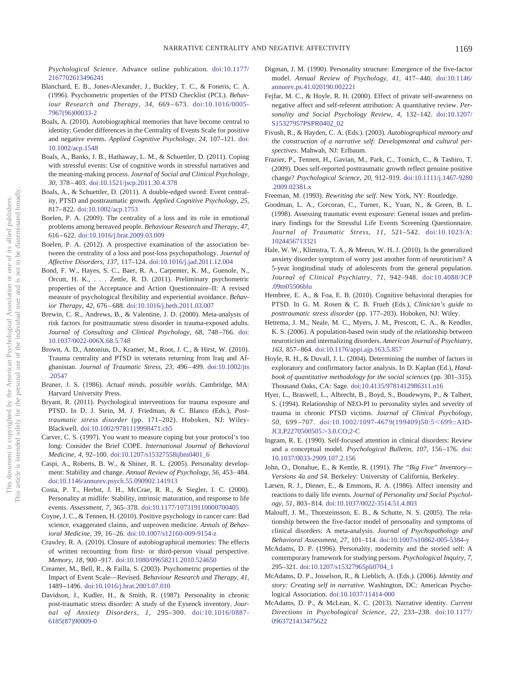*Psychological Science*. Advance online publication. [doi:10.1177/](http://dx.doi.org/10.1177/2167702613496241) [2167702613496241](http://dx.doi.org/10.1177/2167702613496241)

- <span id="page-10-28"></span>Blanchard, E. B., Jones-Alexander, J., Buckley, T. C., & Foneris, C. A. (1996). Psychometric properties of the PTSD Checklist (PCL). *Behaviour Research and Therapy, 34,* 669 – 673. [doi:10.1016/0005-](http://dx.doi.org/10.1016/0005-7967%2896%2900033-2) [7967\(96\)00033-2](http://dx.doi.org/10.1016/0005-7967%2896%2900033-2)
- <span id="page-10-17"></span>Boals, A. (2010). Autobiographical memories that have become central to identity: Gender differences in the Centrality of Events Scale for positive and negative events. *Applied Cognitive Psychology, 24,* 107–121. [doi:](http://dx.doi.org/10.1002/acp.1548) [10.1002/acp.1548](http://dx.doi.org/10.1002/acp.1548)
- <span id="page-10-19"></span>Boals, A., Banks, J. B., Hathaway, L. M., & Schuettler, D. (2011). Coping with stressful events: Use of cognitive words in stressful narratives and the meaning-making process. *Journal of Social and Clinical Psychology, 30,* 378 – 403. [doi:10.1521/jscp.2011.30.4.378](http://dx.doi.org/10.1521/jscp.2011.30.4.378)
- <span id="page-10-14"></span>Boals, A., & Schuettler, D. (2011). A double-edged sword: Event centrality, PTSD and posttraumatic growth. *Applied Cognitive Psychology, 25,* 817– 822. [doi:10.1002/acp.1753](http://dx.doi.org/10.1002/acp.1753)
- <span id="page-10-15"></span>Boelen, P. A. (2009). The centrality of a loss and its role in emotional problems among bereaved people. *Behaviour Research and Therapy, 47,* 616 – 622. [doi:10.1016/j.brat.2009.03.009](http://dx.doi.org/10.1016/j.brat.2009.03.009)
- <span id="page-10-13"></span>Boelen, P. A. (2012). A prospective examination of the association between the centrality of a loss and post-loss psychopathology. *Journal of Affective Disorders, 137,* 117–124. [doi:10.1016/j.jad.2011.12.004](http://dx.doi.org/10.1016/j.jad.2011.12.004)
- <span id="page-10-32"></span>Bond, F. W., Hayes, S. C., Baer, R. A., Carpenter, K. M., Guenole, N., Orcutt, H. K.,... Zettle, R. D. (2011). Preliminary psychometric properties of the Acceptance and Action Questionnaire–II: A revised measure of psychological flexibility and experiential avoidance. *Behavior Therapy, 42, 676-688. [doi:10.1016/j.beth.2011.03.007](http://dx.doi.org/10.1016/j.beth.2011.03.007)*
- <span id="page-10-12"></span>Brewin, C. R., Andrews, B., & Valentine, J. D. (2000). Meta-analysis of risk factors for posttraumatic stress disorder in trauma-exposed adults. *Journal of Consulting and Clinical Psychology, 68,* 748 –766. [doi:](http://dx.doi.org/10.1037/0022-006X.68.5.748) [10.1037/0022-006X.68.5.748](http://dx.doi.org/10.1037/0022-006X.68.5.748)
- <span id="page-10-16"></span>Brown, A. D., Antonius, D., Kramer, M., Root, J. C., & Hirst, W. (2010). Trauma centrality and PTSD in veterans returning from Iraq and Afghanistan. *Journal of Traumatic Stress, 23,* 496 – 499. [doi:10.1002/jts](http://dx.doi.org/10.1002/jts.20547) [.20547](http://dx.doi.org/10.1002/jts.20547)
- <span id="page-10-0"></span>Bruner, J. S. (1986). *Actual minds, possible worlds*. Cambridge, MA: Harvard University Press.
- <span id="page-10-6"></span>Bryant, R. (2011). Psychological interventions for trauma exposure and PTSD. In D. J. Stein, M. J. Friedman, & C. Blanco (Eds.), *Posttraumatic stress disorder* (pp. 171–202). Hoboken, NJ: Wiley-Blackwell. [doi:10.1002/9781119998471.ch5](http://dx.doi.org/10.1002/9781119998471.ch5)
- <span id="page-10-31"></span>Carver, C. S. (1997). You want to measure coping but your protocol's too long: Consider the Brief COPE. *International Journal of Behavioral Medicine, 4,* 92–100. [doi:10.1207/s15327558ijbm0401\\_6](http://dx.doi.org/10.1207/s15327558ijbm0401_6)
- <span id="page-10-10"></span>Caspi, A., Roberts, B. W., & Shiner, R. L. (2005). Personality development: Stability and change. *Annual Review of Psychology, 56,* 453– 484. [doi:10.1146/annurev.psych.55.090902.141913](http://dx.doi.org/10.1146/annurev.psych.55.090902.141913)
- <span id="page-10-11"></span>Costa, P. T., Herbst, J. H., McCrae, R. R., & Siegler, I. C. (2000). Personality at midlife: Stability, intrinsic maturation, and response to life events. *Assessment, 7,* 365–378. [doi:10.1177/107319110000700405](http://dx.doi.org/10.1177/107319110000700405)
- <span id="page-10-20"></span>Coyne, J. C., & Tennen, H. (2010). Positive psychology in cancer care: Bad science, exaggerated claims, and unproven medicine. *Annals of Behavioral Medicine, 39,* 16 –26. [doi:10.1007/s12160-009-9154-z](http://dx.doi.org/10.1007/s12160-009-9154-z)
- <span id="page-10-18"></span>Crawley, R. A. (2010). Closure of autobiographical memories: The effects of written recounting from first- or third-person visual perspective. *Memory, 18,* 900 –917. [doi:10.1080/09658211.2010.524650](http://dx.doi.org/10.1080/09658211.2010.524650)
- <span id="page-10-29"></span>Creamer, M., Bell, R., & Failla, S. (2003). Psychometric properties of the Impact of Event Scale—Revised. *Behaviour Research and Therapy, 41,* 1489 –1496. [doi:10.1016/j.brat.2003.07.010](http://dx.doi.org/10.1016/j.brat.2003.07.010)
- <span id="page-10-26"></span>Davidson, J., Kudler, H., & Smith, R. (1987). Personality in chronic post-traumatic stress disorder: A study of the Eysenck inventory. *Journal of Anxiety Disorders, 1,* 295–300. [doi:10.1016/0887-](http://dx.doi.org/10.1016/0887-6185%2887%2990009-0) [6185\(87\)90009-0](http://dx.doi.org/10.1016/0887-6185%2887%2990009-0)
- <span id="page-10-8"></span>Digman, J. M. (1990). Personality structure: Emergence of the five-factor model. *Annual Review of Psychology, 41,* 417– 440. [doi:10.1146/](http://dx.doi.org/10.1146/annurev.ps.41.020190.002221) [annurev.ps.41.020190.002221](http://dx.doi.org/10.1146/annurev.ps.41.020190.002221)
- <span id="page-10-35"></span>Fejfar, M. C., & Hoyle, R. H. (2000). Effect of private self-awareness on negative affect and self-referent attribution: A quantitative review. *Personality and Social Psychology Review, 4,* 132–142. [doi:10.1207/](http://dx.doi.org/10.1207/S15327957PSPR0402_02) [S15327957PSPR0402\\_02](http://dx.doi.org/10.1207/S15327957PSPR0402_02)
- <span id="page-10-1"></span>Fivush, R., & Hayden, C. A. (Eds.). (2003). *Autobiographical memory and the construction of a narrative self: Developmental and cultural perspectives*. Mahwah, NJ: Erlbaum.
- <span id="page-10-21"></span>Frazier, P., Tennen, H., Gavian, M., Park, C., Tomich, C., & Tashiro, T. (2009). Does self-reported posttraumatic growth reflect genuine positive change? *Psychological Science, 20,* 912–919. [doi:10.1111/j.1467-9280](http://dx.doi.org/10.1111/j.1467-9280.2009.02381.x) [.2009.02381.x](http://dx.doi.org/10.1111/j.1467-9280.2009.02381.x)
- <span id="page-10-2"></span>Freeman, M. (1993). *Rewriting the self*. New York, NY: Routledge.
- <span id="page-10-30"></span>Goodman, L. A., Corcoran, C., Turner, K., Yuan, N., & Green, B. L. (1998). Assessing traumatic event exposure: General issues and preliminary findings for the Stressful Life Events Screening Questionnaire. *Journal of Traumatic Stress, 11,* 521–542. [doi:10.1023/A:](http://dx.doi.org/10.1023/A:1024456713321) [1024456713321](http://dx.doi.org/10.1023/A:1024456713321)
- <span id="page-10-24"></span>Hale, W. W., Klimstra, T. A., & Meeus, W. H. J. (2010). Is the generalized anxiety disorder symptom of worry just another form of neuroticism? A 5-year longitudinal study of adolescents from the general population. *Journal of Clinical Psychiatry, 71,* 942–948. [doi:10.4088/JCP](http://dx.doi.org/10.4088/JCP.09m05506blu) [.09m05506blu](http://dx.doi.org/10.4088/JCP.09m05506blu)
- <span id="page-10-7"></span>Hembree, E. A., & Foa, E. B. (2010). Cognitive behavioral therapies for PTSD. In G. M. Rosen & C. B. Frueh (Eds.), *Clinician's guide to posttraumatic stress disorder* (pp. 177–203). Hoboken, NJ: Wiley.
- <span id="page-10-25"></span>Hettema, J. M., Neale, M. C., Myers, J. M., Prescott, C. A., & Kendler, K. S. (2006). A population-based twin study of the relationship between neuroticism and internalizing disorders. *American Journal of Psychiatry, 163,* 857– 864. [doi:10.1176/appi.ajp.163.5.857](http://dx.doi.org/10.1176/appi.ajp.163.5.857)
- <span id="page-10-33"></span>Hoyle, R. H., & Duvall, J. L. (2004). Determining the number of factors in exploratory and confirmatory factor analysis. In D. Kaplan (Ed.), *Handbook of quantitative methodology for the social sciences* (pp. 301–315). Thousand Oaks, CA: Sage. [doi:10.4135/9781412986311.n16](http://dx.doi.org/10.4135/9781412986311.n16)
- <span id="page-10-27"></span>Hyer, L., Braswell, L., Albrecht, B., Boyd, S., Boudewyns, P., & Talbert, S. (1994). Relationship of NEO-PI to personality styles and severity of trauma in chronic PTSD victims. *Journal of Clinical Psychology, 50,* 699-707. [doi:10.1002/1097-4679\(199409\)50:5](http://dx.doi.org/10.1002/1097-4679%28199409%2950:5%3C699::AID-JCLP2270500505%3E3.0.CO;2-C)<699::AID-[JCLP2270500505](http://dx.doi.org/10.1002/1097-4679%28199409%2950:5%3C699::AID-JCLP2270500505%3E3.0.CO;2-C)3.0.CO;2-C
- <span id="page-10-34"></span>Ingram, R. E. (1990). Self-focused attention in clinical disorders: Review and a conceptual model. *Psychological Bulletin*, 107, 156-176. [doi:](http://dx.doi.org/10.1037/0033-2909.107.2.156) [10.1037/0033-2909.107.2.156](http://dx.doi.org/10.1037/0033-2909.107.2.156)
- <span id="page-10-22"></span>John, O., Donahue, E., & Kentle, R. (1991). *The "Big Five" Inventory— Versions 4a and 54*. Berkeley: University of California, Berkeley.
- <span id="page-10-23"></span>Larsen, R. J., Diener, E., & Emmons, R. A. (1986). Affect intensity and reactions to daily life events. *Journal of Personality and Social Psychology, 51,* 803– 814. [doi:10.1037/0022-3514.51.4.803](http://dx.doi.org/10.1037/0022-3514.51.4.803)
- <span id="page-10-9"></span>Malouff, J. M., Thorsteinsson, E. B., & Schutte, N. S. (2005). The relationship between the five-factor model of personality and symptoms of clinical disorders: A meta-analysis. *Journal of Psychopathology and Behavioral Assessment, 27,* 101–114. [doi:10.1007/s10862-005-5384-y](http://dx.doi.org/10.1007/s10862-005-5384-y)
- <span id="page-10-3"></span>McAdams, D. P. (1996). Personality, modernity and the storied self: A contemporary framework for studying persons. *Psychological Inquiry, 7,* 295–321. [doi:10.1207/s15327965pli0704\\_1](http://dx.doi.org/10.1207/s15327965pli0704_1)
- <span id="page-10-4"></span>McAdams, D. P., Josselson, R., & Lieblich, A. (Eds.). (2006). *Identity and story: Creating self in narrative*. Washington, DC: American Psychological Association. [doi:10.1037/11414-000](http://dx.doi.org/10.1037/11414-000)
- <span id="page-10-5"></span>McAdams, D. P., & McLean, K. C. (2013). Narrative identity. *Current Directions in Psychological Science, 22,* 233–238. [doi:10.1177/](http://dx.doi.org/10.1177/0963721413475622) [0963721413475622](http://dx.doi.org/10.1177/0963721413475622)